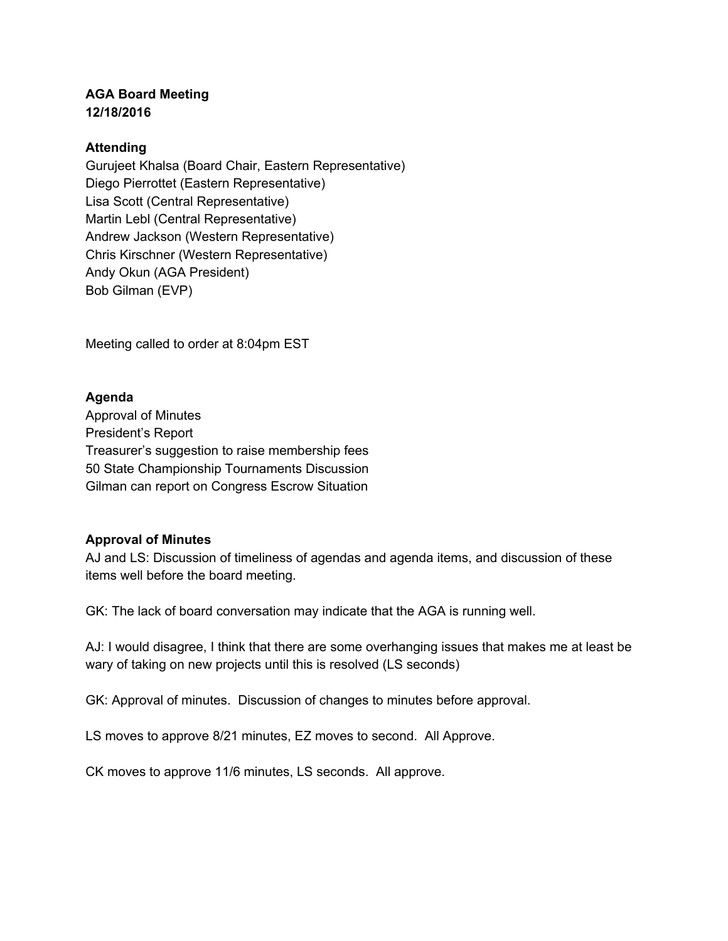## **AGA Board Meeting 12/18/2016**

## **Attending**

Gurujeet Khalsa (Board Chair, Eastern Representative) Diego Pierrottet (Eastern Representative) Lisa Scott (Central Representative) Martin Lebl (Central Representative) Andrew Jackson (Western Representative) Chris Kirschner (Western Representative) Andy Okun (AGA President) Bob Gilman (EVP)

Meeting called to order at 8:04pm EST

### **Agenda**

Approval of Minutes President's Report Treasurer's suggestion to raise membership fees 50 State Championship Tournaments Discussion Gilman can report on Congress Escrow Situation

### **Approval of Minutes**

AJ and LS: Discussion of timeliness of agendas and agenda items, and discussion of these items well before the board meeting.

GK: The lack of board conversation may indicate that the AGA is running well.

AJ: I would disagree, I think that there are some overhanging issues that makes me at least be wary of taking on new projects until this is resolved (LS seconds)

GK: Approval of minutes. Discussion of changes to minutes before approval.

LS moves to approve 8/21 minutes, EZ moves to second. All Approve.

CK moves to approve 11/6 minutes, LS seconds. All approve.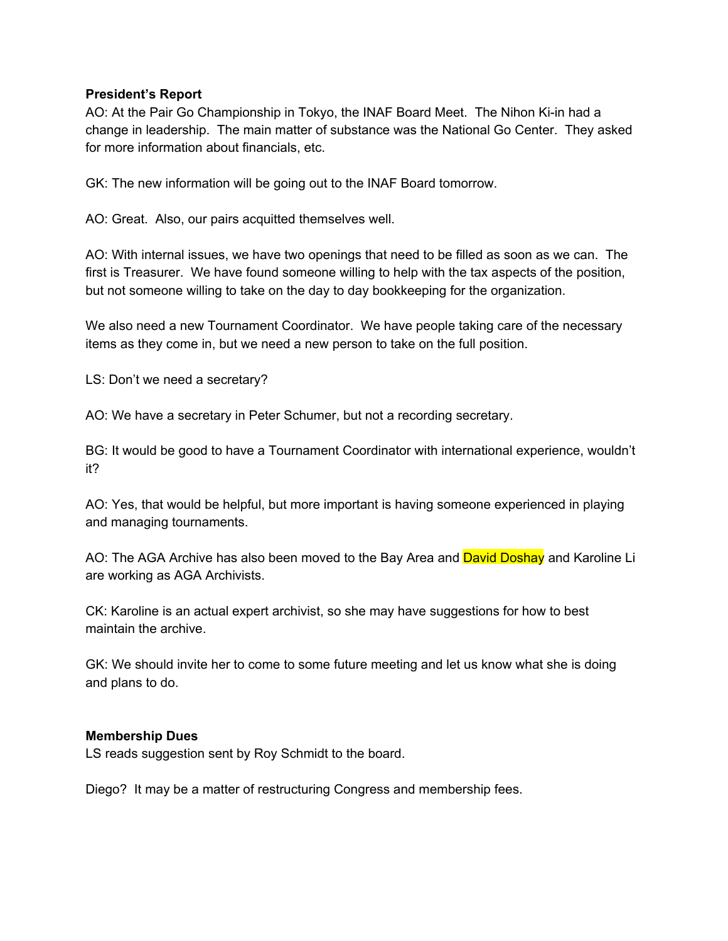### **President's Report**

AO: At the Pair Go Championship in Tokyo, the INAF Board Meet. The Nihon Ki-in had a change in leadership. The main matter of substance was the National Go Center. They asked for more information about financials, etc.

GK: The new information will be going out to the INAF Board tomorrow.

AO: Great. Also, our pairs acquitted themselves well.

AO: With internal issues, we have two openings that need to be filled as soon as we can. The first is Treasurer. We have found someone willing to help with the tax aspects of the position, but not someone willing to take on the day to day bookkeeping for the organization.

We also need a new Tournament Coordinator. We have people taking care of the necessary items as they come in, but we need a new person to take on the full position.

LS: Don't we need a secretary?

AO: We have a secretary in Peter Schumer, but not a recording secretary.

BG: It would be good to have a Tournament Coordinator with international experience, wouldn't it?

AO: Yes, that would be helpful, but more important is having someone experienced in playing and managing tournaments.

AO: The AGA Archive has also been moved to the Bay Area and David Doshay and Karoline Li are working as AGA Archivists.

CK: Karoline is an actual expert archivist, so she may have suggestions for how to best maintain the archive.

GK: We should invite her to come to some future meeting and let us know what she is doing and plans to do.

### **Membership Dues**

LS reads suggestion sent by Roy Schmidt to the board.

Diego? It may be a matter of restructuring Congress and membership fees.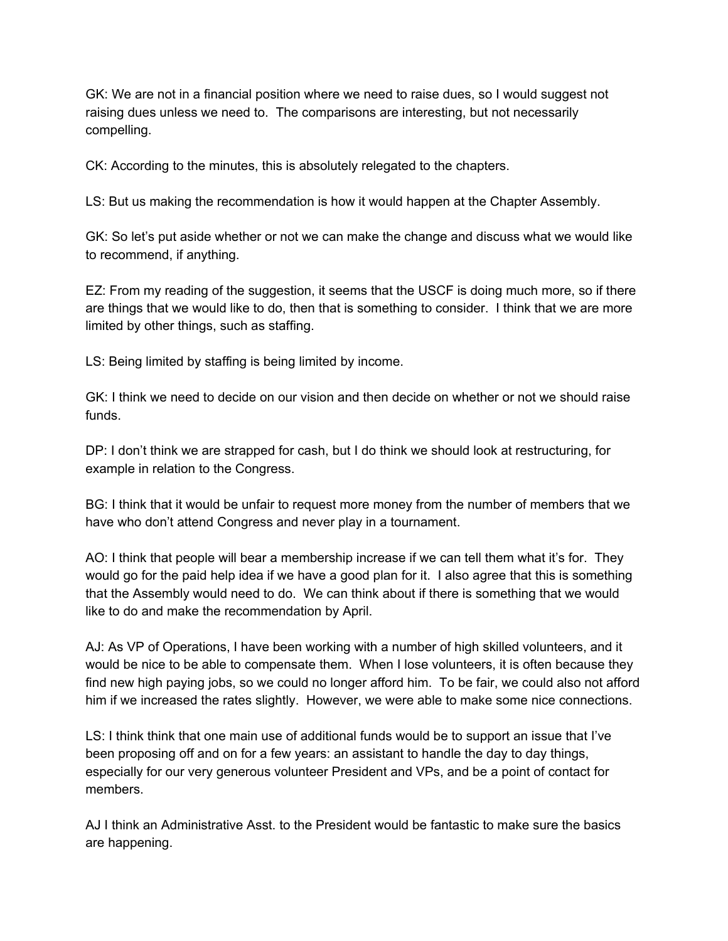GK: We are not in a financial position where we need to raise dues, so I would suggest not raising dues unless we need to. The comparisons are interesting, but not necessarily compelling.

CK: According to the minutes, this is absolutely relegated to the chapters.

LS: But us making the recommendation is how it would happen at the Chapter Assembly.

GK: So let's put aside whether or not we can make the change and discuss what we would like to recommend, if anything.

EZ: From my reading of the suggestion, it seems that the USCF is doing much more, so if there are things that we would like to do, then that is something to consider. I think that we are more limited by other things, such as staffing.

LS: Being limited by staffing is being limited by income.

GK: I think we need to decide on our vision and then decide on whether or not we should raise funds.

DP: I don't think we are strapped for cash, but I do think we should look at restructuring, for example in relation to the Congress.

BG: I think that it would be unfair to request more money from the number of members that we have who don't attend Congress and never play in a tournament.

AO: I think that people will bear a membership increase if we can tell them what it's for. They would go for the paid help idea if we have a good plan for it. I also agree that this is something that the Assembly would need to do. We can think about if there is something that we would like to do and make the recommendation by April.

AJ: As VP of Operations, I have been working with a number of high skilled volunteers, and it would be nice to be able to compensate them. When I lose volunteers, it is often because they find new high paying jobs, so we could no longer afford him. To be fair, we could also not afford him if we increased the rates slightly. However, we were able to make some nice connections.

LS: I think think that one main use of additional funds would be to support an issue that I've been proposing off and on for a few years: an assistant to handle the day to day things, especially for our very generous volunteer President and VPs, and be a point of contact for members.

AJ I think an Administrative Asst. to the President would be fantastic to make sure the basics are happening.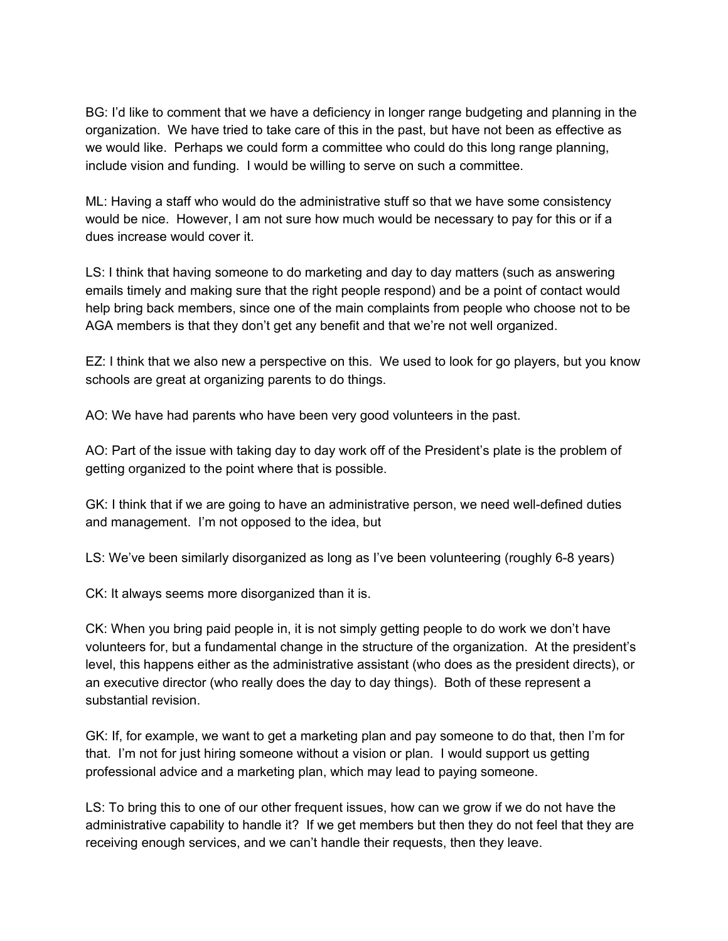BG: I'd like to comment that we have a deficiency in longer range budgeting and planning in the organization. We have tried to take care of this in the past, but have not been as effective as we would like. Perhaps we could form a committee who could do this long range planning, include vision and funding. I would be willing to serve on such a committee.

ML: Having a staff who would do the administrative stuff so that we have some consistency would be nice. However, I am not sure how much would be necessary to pay for this or if a dues increase would cover it.

LS: I think that having someone to do marketing and day to day matters (such as answering emails timely and making sure that the right people respond) and be a point of contact would help bring back members, since one of the main complaints from people who choose not to be AGA members is that they don't get any benefit and that we're not well organized.

EZ: I think that we also new a perspective on this. We used to look for go players, but you know schools are great at organizing parents to do things.

AO: We have had parents who have been very good volunteers in the past.

AO: Part of the issue with taking day to day work off of the President's plate is the problem of getting organized to the point where that is possible.

GK: I think that if we are going to have an administrative person, we need well-defined duties and management. I'm not opposed to the idea, but

LS: We've been similarly disorganized as long as I've been volunteering (roughly 6-8 years)

CK: It always seems more disorganized than it is.

CK: When you bring paid people in, it is not simply getting people to do work we don't have volunteers for, but a fundamental change in the structure of the organization. At the president's level, this happens either as the administrative assistant (who does as the president directs), or an executive director (who really does the day to day things). Both of these represent a substantial revision.

GK: If, for example, we want to get a marketing plan and pay someone to do that, then I'm for that. I'm not for just hiring someone without a vision or plan. I would support us getting professional advice and a marketing plan, which may lead to paying someone.

LS: To bring this to one of our other frequent issues, how can we grow if we do not have the administrative capability to handle it? If we get members but then they do not feel that they are receiving enough services, and we can't handle their requests, then they leave.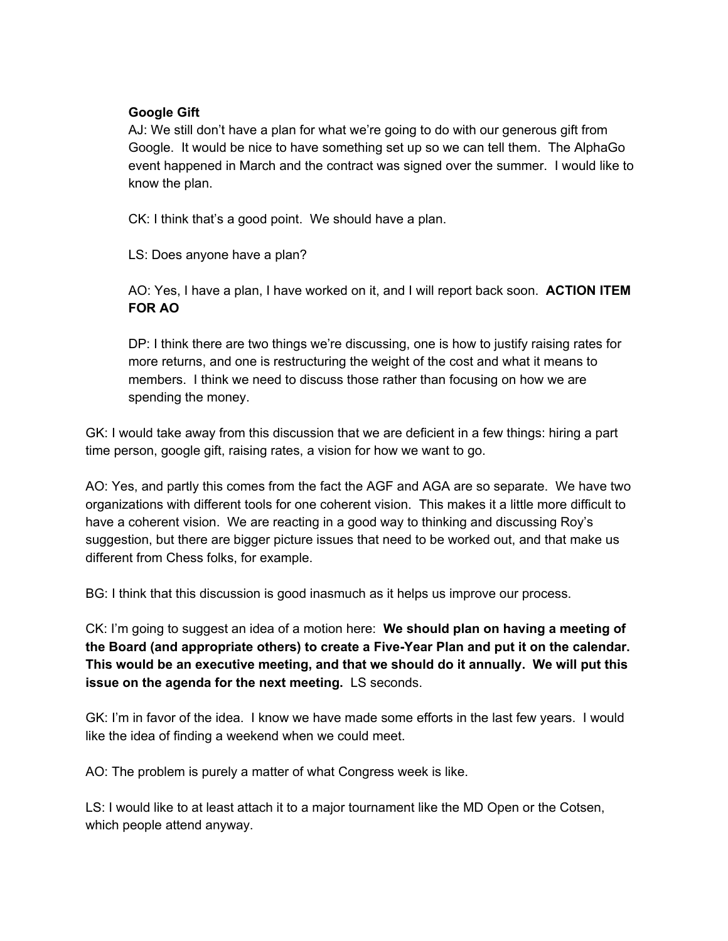## **Google Gift**

AJ: We still don't have a plan for what we're going to do with our generous gift from Google. It would be nice to have something set up so we can tell them. The AlphaGo event happened in March and the contract was signed over the summer. I would like to know the plan.

CK: I think that's a good point. We should have a plan.

LS: Does anyone have a plan?

AO: Yes, I have a plan, I have worked on it, and I will report back soon. **ACTION ITEM FOR AO**

DP: I think there are two things we're discussing, one is how to justify raising rates for more returns, and one is restructuring the weight of the cost and what it means to members. I think we need to discuss those rather than focusing on how we are spending the money.

GK: I would take away from this discussion that we are deficient in a few things: hiring a part time person, google gift, raising rates, a vision for how we want to go.

AO: Yes, and partly this comes from the fact the AGF and AGA are so separate. We have two organizations with different tools for one coherent vision. This makes it a little more difficult to have a coherent vision. We are reacting in a good way to thinking and discussing Roy's suggestion, but there are bigger picture issues that need to be worked out, and that make us different from Chess folks, for example.

BG: I think that this discussion is good inasmuch as it helps us improve our process.

CK: I'm going to suggest an idea of a motion here: **We should plan on having a meeting of the Board (and appropriate others) to create a Five-Year Plan and put it on the calendar. This would be an executive meeting, and that we should do it annually. We will put this issue on the agenda for the next meeting.** LS seconds.

GK: I'm in favor of the idea. I know we have made some efforts in the last few years. I would like the idea of finding a weekend when we could meet.

AO: The problem is purely a matter of what Congress week is like.

LS: I would like to at least attach it to a major tournament like the MD Open or the Cotsen, which people attend anyway.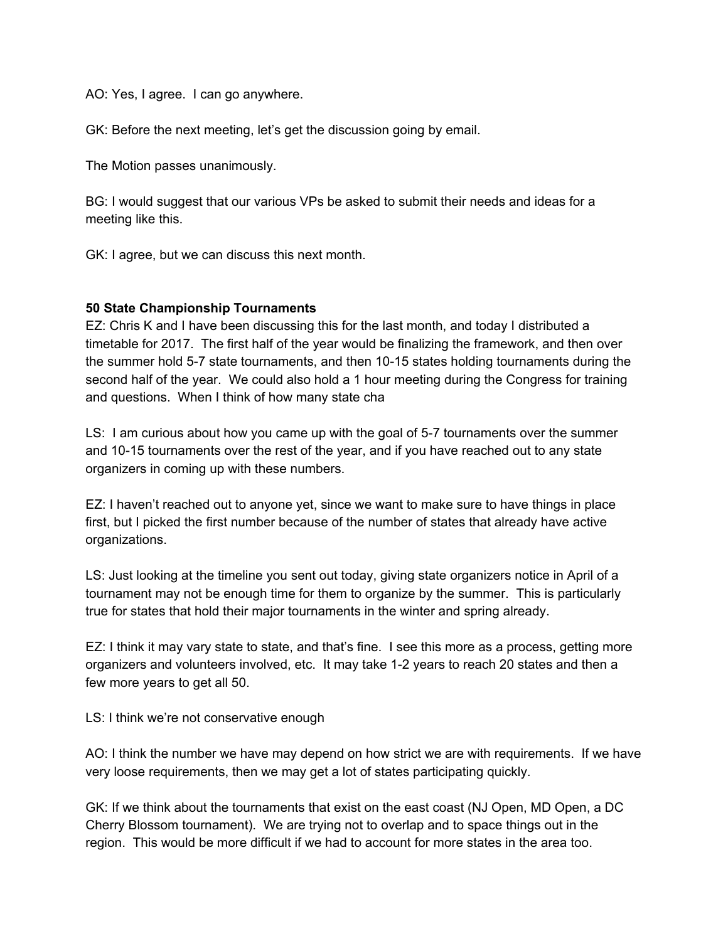AO: Yes, I agree. I can go anywhere.

GK: Before the next meeting, let's get the discussion going by email.

The Motion passes unanimously.

BG: I would suggest that our various VPs be asked to submit their needs and ideas for a meeting like this.

GK: I agree, but we can discuss this next month.

#### **50 State Championship Tournaments**

EZ: Chris K and I have been discussing this for the last month, and today I distributed a timetable for 2017. The first half of the year would be finalizing the framework, and then over the summer hold 5-7 state tournaments, and then 10-15 states holding tournaments during the second half of the year. We could also hold a 1 hour meeting during the Congress for training and questions. When I think of how many state cha

LS: I am curious about how you came up with the goal of 5-7 tournaments over the summer and 10-15 tournaments over the rest of the year, and if you have reached out to any state organizers in coming up with these numbers.

EZ: I haven't reached out to anyone yet, since we want to make sure to have things in place first, but I picked the first number because of the number of states that already have active organizations.

LS: Just looking at the timeline you sent out today, giving state organizers notice in April of a tournament may not be enough time for them to organize by the summer. This is particularly true for states that hold their major tournaments in the winter and spring already.

EZ: I think it may vary state to state, and that's fine. I see this more as a process, getting more organizers and volunteers involved, etc. It may take 1-2 years to reach 20 states and then a few more years to get all 50.

LS: I think we're not conservative enough

AO: I think the number we have may depend on how strict we are with requirements. If we have very loose requirements, then we may get a lot of states participating quickly.

GK: If we think about the tournaments that exist on the east coast (NJ Open, MD Open, a DC Cherry Blossom tournament). We are trying not to overlap and to space things out in the region. This would be more difficult if we had to account for more states in the area too.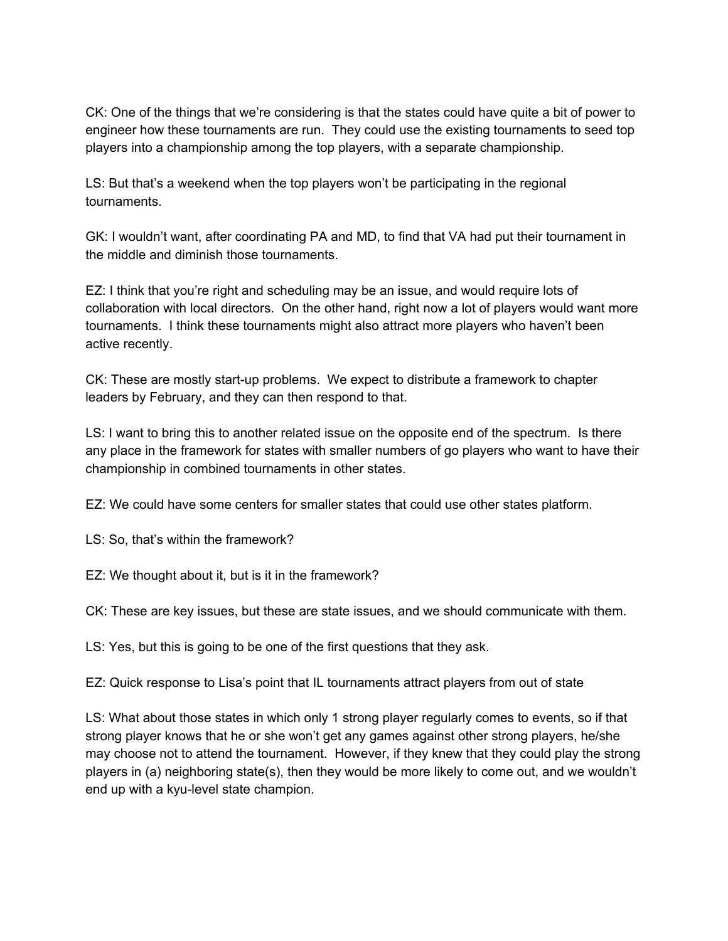CK: One of the things that we're considering is that the states could have quite a bit of power to engineer how these tournaments are run. They could use the existing tournaments to seed top players into a championship among the top players, with a separate championship.

LS: But that's a weekend when the top players won't be participating in the regional tournaments.

GK: I wouldn't want, after coordinating PA and MD, to find that VA had put their tournament in the middle and diminish those tournaments.

EZ: I think that you're right and scheduling may be an issue, and would require lots of collaboration with local directors. On the other hand, right now a lot of players would want more tournaments. I think these tournaments might also attract more players who haven't been active recently.

CK: These are mostly start-up problems. We expect to distribute a framework to chapter leaders by February, and they can then respond to that.

LS: I want to bring this to another related issue on the opposite end of the spectrum. Is there any place in the framework for states with smaller numbers of go players who want to have their championship in combined tournaments in other states.

EZ: We could have some centers for smaller states that could use other states platform.

LS: So, that's within the framework?

EZ: We thought about it, but is it in the framework?

CK: These are key issues, but these are state issues, and we should communicate with them.

LS: Yes, but this is going to be one of the first questions that they ask.

EZ: Quick response to Lisa's point that IL tournaments attract players from out of state

LS: What about those states in which only 1 strong player regularly comes to events, so if that strong player knows that he or she won't get any games against other strong players, he/she may choose not to attend the tournament. However, if they knew that they could play the strong players in (a) neighboring state(s), then they would be more likely to come out, and we wouldn't end up with a kyu-level state champion.